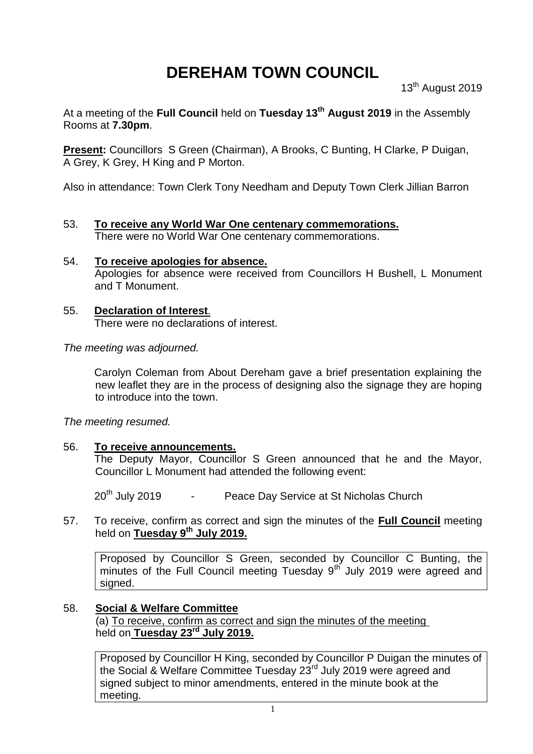# **DEREHAM TOWN COUNCIL**

13<sup>th</sup> August 2019

At a meeting of the **Full Council** held on **Tuesday 13th August 2019** in the Assembly Rooms at **7.30pm**.

**Present:** Councillors S Green (Chairman), A Brooks, C Bunting, H Clarke, P Duigan, A Grey, K Grey, H King and P Morton.

Also in attendance: Town Clerk Tony Needham and Deputy Town Clerk Jillian Barron

- 53. **To receive any World War One centenary commemorations.** There were no World War One centenary commemorations.
- 54. **To receive apologies for absence.** Apologies for absence were received from Councillors H Bushell, L Monument and T Monument.
- 55. **Declaration of Interest**. There were no declarations of interest.

*The meeting was adjourned.*

Carolyn Coleman from About Dereham gave a brief presentation explaining the new leaflet they are in the process of designing also the signage they are hoping to introduce into the town.

*The meeting resumed.*

### 56. **To receive announcements.**

The Deputy Mayor, Councillor S Green announced that he and the Mayor, Councillor L Monument had attended the following event:

20<sup>th</sup> July 2019 - Peace Day Service at St Nicholas Church

57. To receive, confirm as correct and sign the minutes of the **Full Council** meeting held on **Tuesday 9 th July 2019.**

Proposed by Councillor S Green, seconded by Councillor C Bunting, the minutes of the Full Council meeting Tuesday  $9<sup>th</sup>$  July 2019 were agreed and signed.

### 58. **Social & Welfare Committee**

(a) To receive, confirm as correct and sign the minutes of the meeting held on **Tuesday 23rd July 2019.**

Proposed by Councillor H King, seconded by Councillor P Duigan the minutes of the Social & Welfare Committee Tuesday 23<sup>rd</sup> July 2019 were agreed and signed subject to minor amendments, entered in the minute book at the meeting.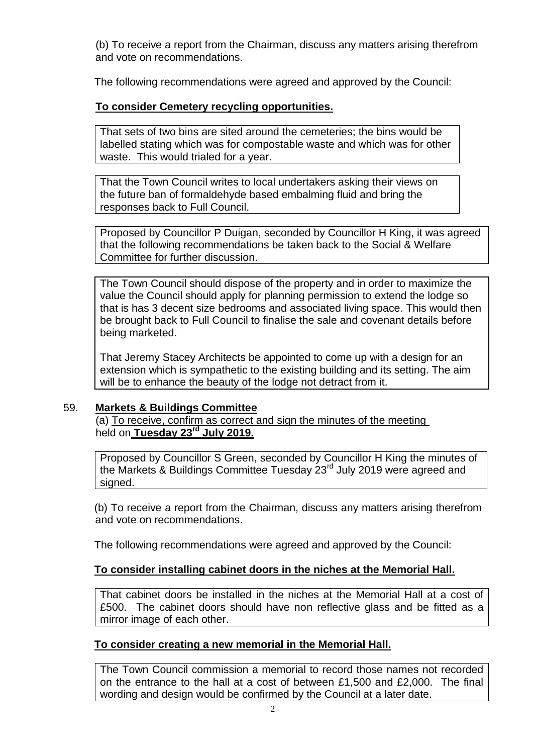(b) To receive a report from the Chairman, discuss any matters arising therefrom and vote on recommendations.

The following recommendations were agreed and approved by the Council:

## **To consider Cemetery recycling opportunities.**

That sets of two bins are sited around the cemeteries; the bins would be labelled stating which was for compostable waste and which was for other waste. This would trialed for a year.

That the Town Council writes to local undertakers asking their views on the future ban of formaldehyde based embalming fluid and bring the responses back to Full Council.

Proposed by Councillor P Duigan, seconded by Councillor H King, it was agreed that the following recommendations be taken back to the Social & Welfare Committee for further discussion.

The Town Council should dispose of the property and in order to maximize the value the Council should apply for planning permission to extend the lodge so that is has 3 decent size bedrooms and associated living space. This would then be brought back to Full Council to finalise the sale and covenant details before being marketed.

That Jeremy Stacey Architects be appointed to come up with a design for an extension which is sympathetic to the existing building and its setting. The aim will be to enhance the beauty of the lodge not detract from it.

### 59. **Markets & Buildings Committee**

(a) To receive, confirm as correct and sign the minutes of the meeting held on **Tuesday 23rd July 2019.**

Proposed by Councillor S Green, seconded by Councillor H King the minutes of the Markets & Buildings Committee Tuesday 23rd July 2019 were agreed and signed.

(b) To receive a report from the Chairman, discuss any matters arising therefrom and vote on recommendations.

The following recommendations were agreed and approved by the Council:

## **To consider installing cabinet doors in the niches at the Memorial Hall.**

That cabinet doors be installed in the niches at the Memorial Hall at a cost of £500. The cabinet doors should have non reflective glass and be fitted as a mirror image of each other.

### **To consider creating a new memorial in the Memorial Hall.**

The Town Council commission a memorial to record those names not recorded on the entrance to the hall at a cost of between £1,500 and £2,000. The final wording and design would be confirmed by the Council at a later date.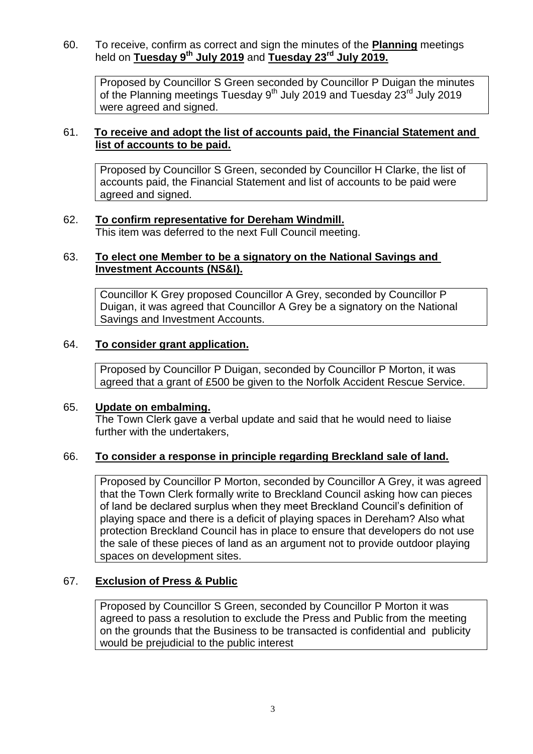60. To receive, confirm as correct and sign the minutes of the **Planning** meetings held on **Tuesday 9 th July 2019** and **Tuesday 23rd July 2019.**

Proposed by Councillor S Green seconded by Councillor P Duigan the minutes of the Planning meetings Tuesday 9<sup>th</sup> July 2019 and Tuesday 23<sup>rd</sup> July 2019 were agreed and signed.

### 61. **To receive and adopt the list of accounts paid, the Financial Statement and list of accounts to be paid.**

Proposed by Councillor S Green, seconded by Councillor H Clarke, the list of accounts paid, the Financial Statement and list of accounts to be paid were agreed and signed.

## 62. **To confirm representative for Dereham Windmill.**

This item was deferred to the next Full Council meeting.

### 63. **To elect one Member to be a signatory on the National Savings and Investment Accounts (NS&I).**

Councillor K Grey proposed Councillor A Grey, seconded by Councillor P Duigan, it was agreed that Councillor A Grey be a signatory on the National Savings and Investment Accounts.

### 64. **To consider grant application.**

Proposed by Councillor P Duigan, seconded by Councillor P Morton, it was agreed that a grant of £500 be given to the Norfolk Accident Rescue Service.

### 65. **Update on embalming.**

The Town Clerk gave a verbal update and said that he would need to liaise further with the undertakers,

## 66. **To consider a response in principle regarding Breckland sale of land.**

Proposed by Councillor P Morton, seconded by Councillor A Grey, it was agreed that the Town Clerk formally write to Breckland Council asking how can pieces of land be declared surplus when they meet Breckland Council's definition of playing space and there is a deficit of playing spaces in Dereham? Also what protection Breckland Council has in place to ensure that developers do not use the sale of these pieces of land as an argument not to provide outdoor playing spaces on development sites.

### 67. **Exclusion of Press & Public**

Proposed by Councillor S Green, seconded by Councillor P Morton it was agreed to pass a resolution to exclude the Press and Public from the meeting on the grounds that the Business to be transacted is confidential and publicity would be prejudicial to the public interest